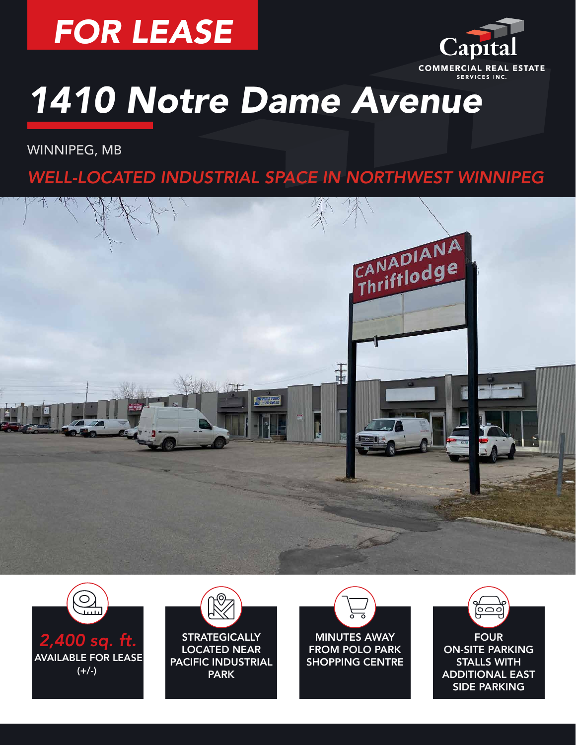



WINNIPEG, MB

### *WELL-LOCATED INDUSTRIAL SPACE IN NORTHWEST WINNIPEG*







**STRATEGICALLY** LOCATED NEAR PACIFIC INDUSTRIAL PARK



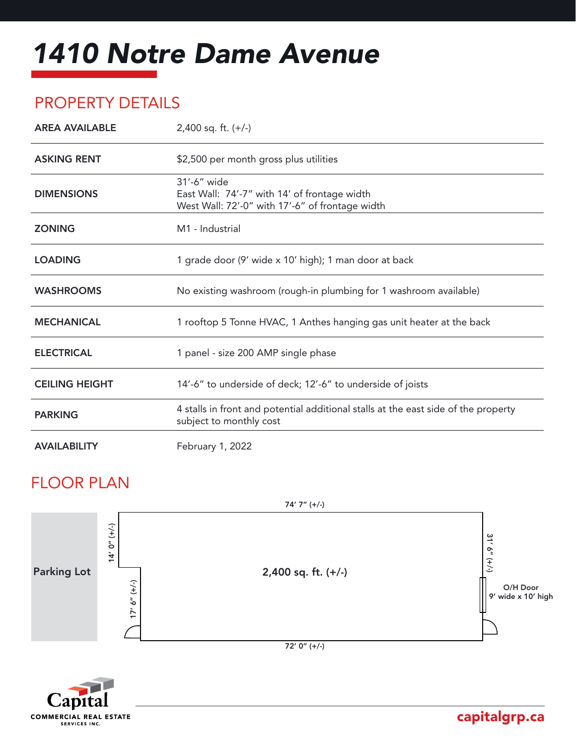### PROPERTY DETAILS

| <b>AREA AVAILABLE</b> | $2,400$ sq. ft. $(+/-)$                                                                                        |
|-----------------------|----------------------------------------------------------------------------------------------------------------|
| <b>ASKING RENT</b>    | \$2,500 per month gross plus utilities                                                                         |
| <b>DIMENSIONS</b>     | 31'-6" wide<br>East Wall: 74'-7" with 14' of frontage width<br>West Wall: 72'-0" with 17'-6" of frontage width |
| <b>ZONING</b>         | M <sub>1</sub> - Industrial                                                                                    |
| <b>LOADING</b>        | 1 grade door (9' wide x 10' high); 1 man door at back                                                          |
| <b>WASHROOMS</b>      | No existing washroom (rough-in plumbing for 1 washroom available)                                              |
| <b>MECHANICAL</b>     | 1 rooftop 5 Tonne HVAC, 1 Anthes hanging gas unit heater at the back                                           |
| <b>ELECTRICAL</b>     | 1 panel - size 200 AMP single phase                                                                            |
| <b>CEILING HEIGHT</b> | 14'-6" to underside of deck; 12'-6" to underside of joists                                                     |
| <b>PARKING</b>        | 4 stalls in front and potential additional stalls at the east side of the property<br>subject to monthly cost  |
| <b>AVAILABILITY</b>   | February 1, 2022                                                                                               |

#### FLOOR PLAN





#### capitalgrp.ca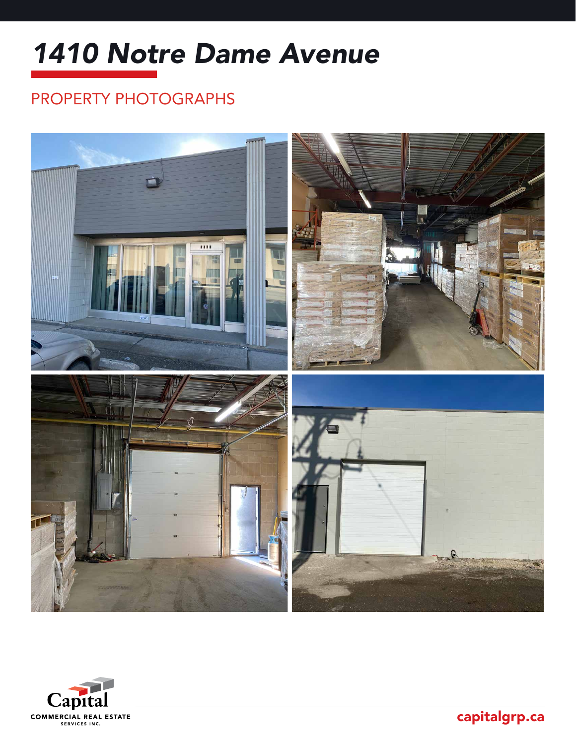## PROPERTY PHOTOGRAPHS





capitalgrp.ca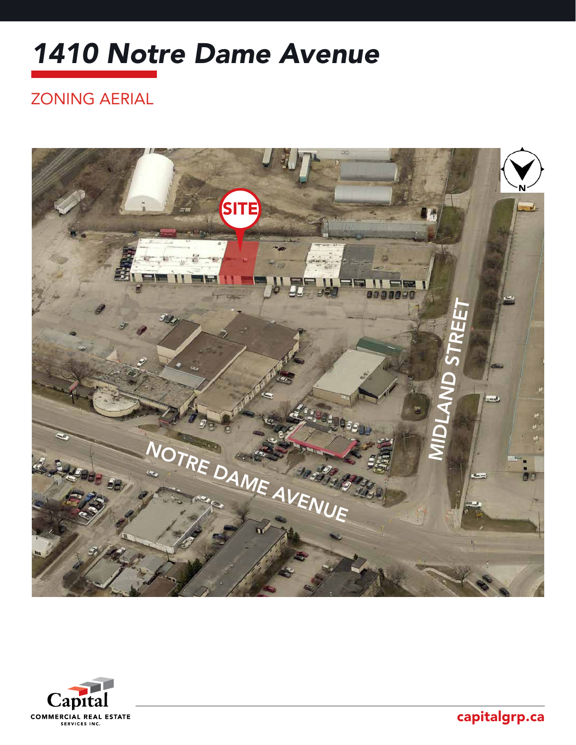### ZONING AERIAL





capitalgrp.ca